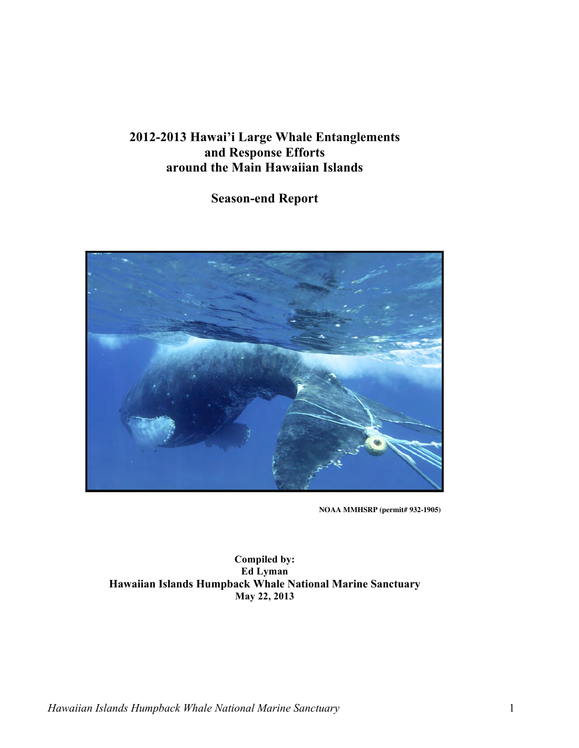# **2012-2013 Hawai'i Large Whale Entanglements and Response Efforts around the Main Hawaiian Islands**

## **Season-end Report**



**NOAA MMHSRP (permit# 932-1905)** 

Ed Lyman  **May 22, 2013 Compiled by: Hawaiian Islands Humpback Whale National Marine Sanctuary**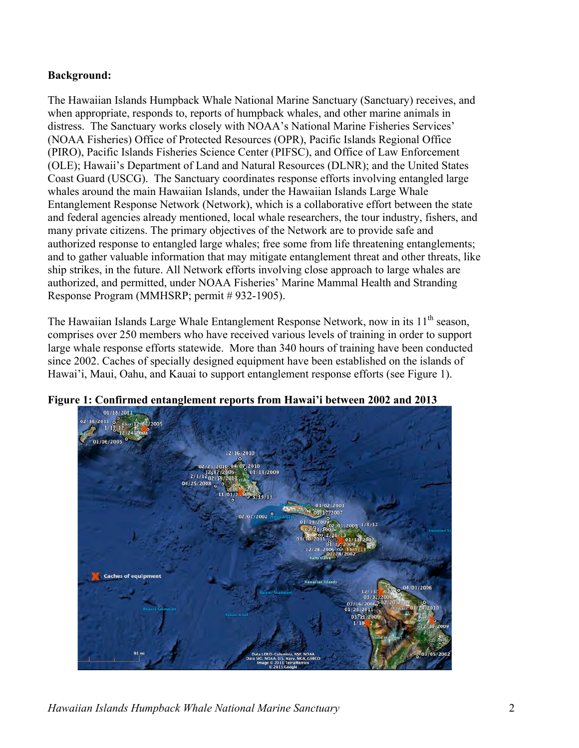### **Background:**

 ship strikes, in the future. All Network efforts involving close approach to large whales are The Hawaiian Islands Humpback Whale National Marine Sanctuary (Sanctuary) receives, and when appropriate, responds to, reports of humpback whales, and other marine animals in distress. The Sanctuary works closely with NOAA's National Marine Fisheries Services' (NOAA Fisheries) Office of Protected Resources (OPR), Pacific Islands Regional Office (PIRO), Pacific Islands Fisheries Science Center (PIFSC), and Office of Law Enforcement (OLE); Hawaii's Department of Land and Natural Resources (DLNR); and the United States Coast Guard (USCG). The Sanctuary coordinates response efforts involving entangled large whales around the main Hawaiian Islands, under the Hawaiian Islands Large Whale Entanglement Response Network (Network), which is a collaborative effort between the state and federal agencies already mentioned, local whale researchers, the tour industry, fishers, and many private citizens. The primary objectives of the Network are to provide safe and authorized response to entangled large whales; free some from life threatening entanglements; and to gather valuable information that may mitigate entanglement threat and other threats, like authorized, and permitted, under NOAA Fisheries' Marine Mammal Health and Stranding Response Program (MMHSRP; permit # 932-1905).

The Hawaiian Islands Large Whale Entanglement Response Network, now in its 11<sup>th</sup> season, comprises over 250 members who have received various levels of training in order to support large whale response efforts statewide. More than 340 hours of training have been conducted since 2002. Caches of specially designed equipment have been established on the islands of Hawai'i, Maui, Oahu, and Kauai to support entanglement response efforts (see Figure 1).



**Figure 1: Confirmed entanglement reports from Hawai'i between 2002 and 2013**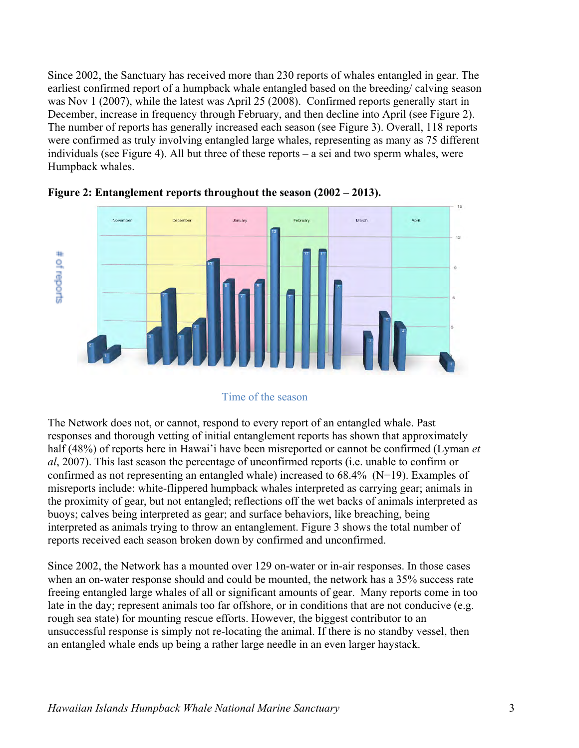Since 2002, the Sanctuary has received more than 230 reports of whales entangled in gear. The earliest confirmed report of a humpback whale entangled based on the breeding/ calving season was Nov 1 (2007), while the latest was April 25 (2008). Confirmed reports generally start in December, increase in frequency through February, and then decline into April (see Figure 2). The number of reports has generally increased each season (see Figure 3). Overall, 118 reports were confirmed as truly involving entangled large whales, representing as many as 75 different individuals (see Figure 4). All but three of these reports – a sei and two sperm whales, were Humpback whales.





#### Time of the season

 The Network does not, or cannot, respond to every report of an entangled whale. Past responses and thorough vetting of initial entanglement reports has shown that approximately half (48%) of reports here in Hawai'i have been misreported or cannot be confirmed (Lyman *et al*, 2007). This last season the percentage of unconfirmed reports (i.e. unable to confirm or confirmed as not representing an entangled whale) increased to 68.4% (N=19). Examples of misreports include: white-flippered humpback whales interpreted as carrying gear; animals in the proximity of gear, but not entangled; reflections off the wet backs of animals interpreted as buoys; calves being interpreted as gear; and surface behaviors, like breaching, being interpreted as animals trying to throw an entanglement. Figure 3 shows the total number of reports received each season broken down by confirmed and unconfirmed.

Since 2002, the Network has a mounted over 129 on-water or in-air responses. In those cases when an on-water response should and could be mounted, the network has a 35% success rate freeing entangled large whales of all or significant amounts of gear. Many reports come in too late in the day; represent animals too far offshore, or in conditions that are not conducive (e.g. rough sea state) for mounting rescue efforts. However, the biggest contributor to an unsuccessful response is simply not re-locating the animal. If there is no standby vessel, then an entangled whale ends up being a rather large needle in an even larger haystack.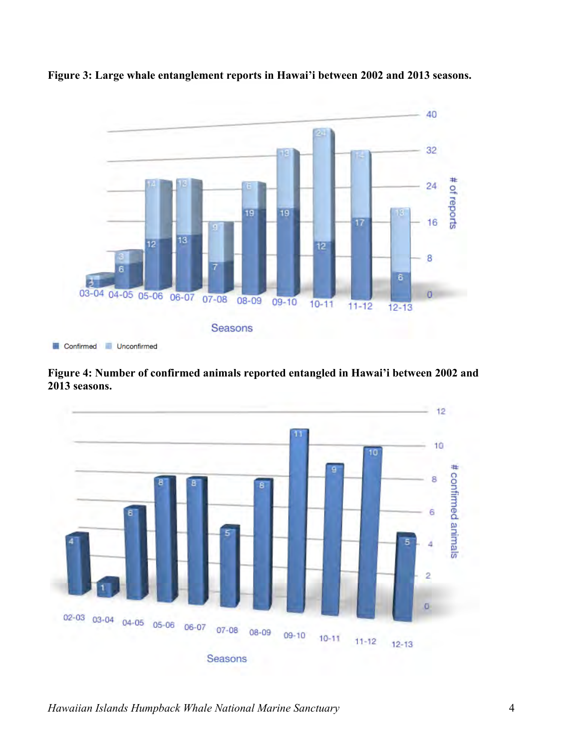

**Figure 3: Large whale entanglement reports in Hawai'i between 2002 and 2013 seasons.** 

 **Figure 4: Number of confirmed animals reported entangled in Hawai'i between 2002 and 2013 seasons.** 

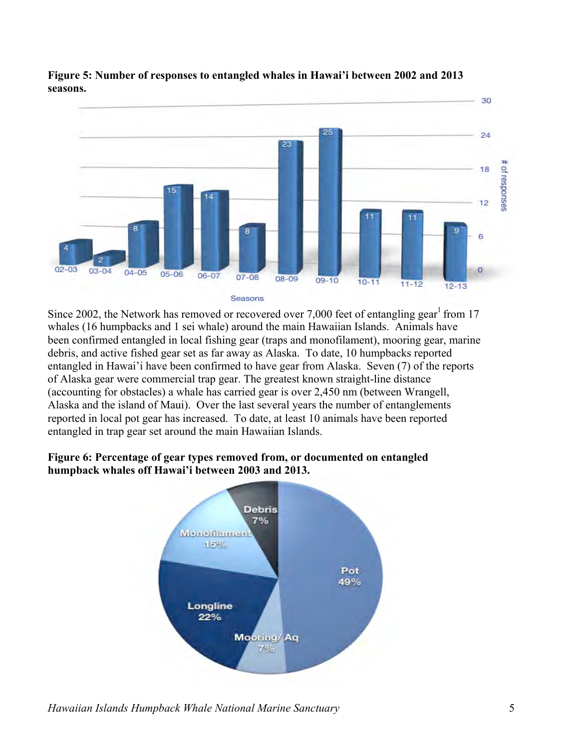

**Figure 5: Number of responses to entangled whales in Hawai'i between 2002 and 2013 seasons.** 

 reported in local pot gear has increased. To date, at least 10 animals have been reported Since 2002, the Network has removed or recovered over 7,000 feet of entangling gear<sup>1</sup> from 17 whales (16 humpbacks and 1 sei whale) around the main Hawaiian Islands. Animals have been confirmed entangled in local fishing gear (traps and monofilament), mooring gear, marine debris, and active fished gear set as far away as Alaska. To date, 10 humpbacks reported entangled in Hawai'i have been confirmed to have gear from Alaska. Seven (7) of the reports of Alaska gear were commercial trap gear. The greatest known straight-line distance (accounting for obstacles) a whale has carried gear is over 2,450 nm (between Wrangell, Alaska and the island of Maui). Over the last several years the number of entanglements entangled in trap gear set around the main Hawaiian Islands.

#### **Figure 6: Percentage of gear types removed from, or documented on entangled humpback whales off Hawai'i between 2003 and 2013.**



*Hawaiian Islands Humpback Whale National Marine Sanctuary* 5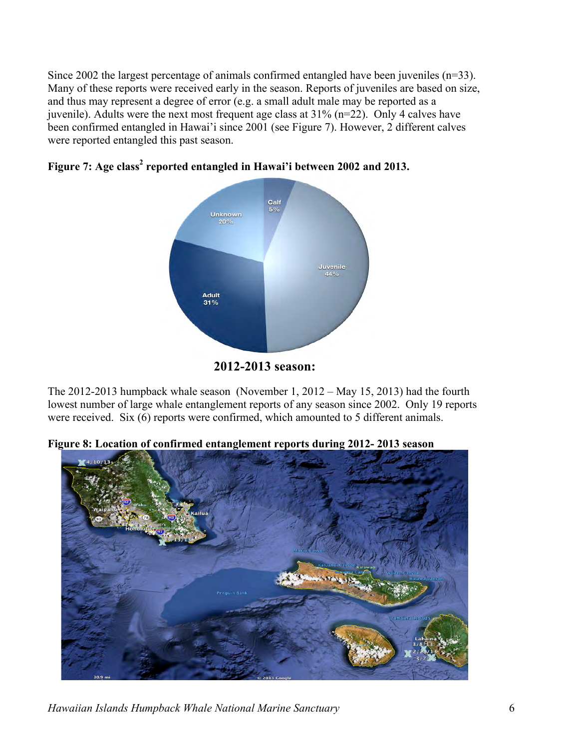Since 2002 the largest percentage of animals confirmed entangled have been juveniles (n=33). Many of these reports were received early in the season. Reports of juveniles are based on size, and thus may represent a degree of error (e.g. a small adult male may be reported as a juvenile). Adults were the next most frequent age class at 31% (n=22). Only 4 calves have been confirmed entangled in Hawai'i since 2001 (see Figure 7). However, 2 different calves were reported entangled this past season.





The 2012-2013 humpback whale season (November 1, 2012 – May 15, 2013) had the fourth lowest number of large whale entanglement reports of any season since 2002. Only 19 reports were received. Six (6) reports were confirmed, which amounted to 5 different animals.

**Figure 8: Location of confirmed entanglement reports during 2012- 2013 season** 



*Hawaiian Islands Humpback Whale National Marine Sanctuary* 6

**<sup>2012-2013</sup> season:**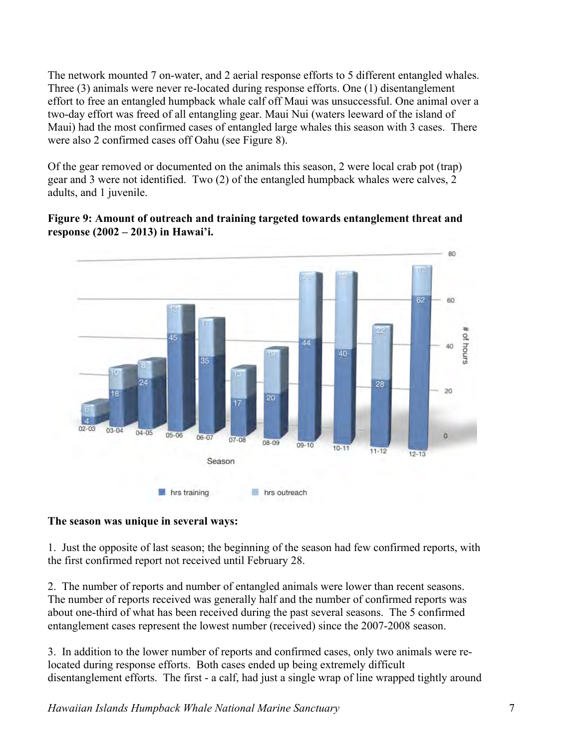The network mounted 7 on-water, and 2 aerial response efforts to 5 different entangled whales. Three (3) animals were never re-located during response efforts. One (1) disentanglement effort to free an entangled humpback whale calf off Maui was unsuccessful. One animal over a two-day effort was freed of all entangling gear. Maui Nui (waters leeward of the island of Maui) had the most confirmed cases of entangled large whales this season with 3 cases. There were also 2 confirmed cases off Oahu (see Figure 8).

Of the gear removed or documented on the animals this season, 2 were local crab pot (trap) gear and 3 were not identified. Two (2) of the entangled humpback whales were calves, 2 adults, and 1 juvenile.

#### **Figure 9: Amount of outreach and training targeted towards entanglement threat and response (2002 – 2013) in Hawai'i.**



#### **The season was unique in several ways:**

1. Just the opposite of last season; the beginning of the season had few confirmed reports, with the first confirmed report not received until February 28.

2. The number of reports and number of entangled animals were lower than recent seasons. The number of reports received was generally half and the number of confirmed reports was about one-third of what has been received during the past several seasons. The 5 confirmed entanglement cases represent the lowest number (received) since the 2007-2008 season.

3. In addition to the lower number of reports and confirmed cases, only two animals were relocated during response efforts. Both cases ended up being extremely difficult disentanglement efforts. The first - a calf, had just a single wrap of line wrapped tightly around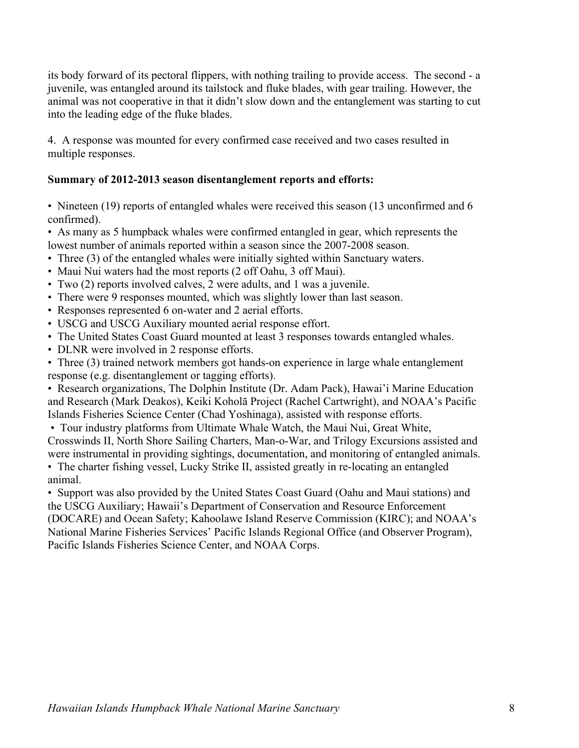its body forward of its pectoral flippers, with nothing trailing to provide access. The second - a juvenile, was entangled around its tailstock and fluke blades, with gear trailing. However, the animal was not cooperative in that it didn't slow down and the entanglement was starting to cut into the leading edge of the fluke blades.

4. A response was mounted for every confirmed case received and two cases resulted in multiple responses.

### **Summary of 2012-2013 season disentanglement reports and efforts:**

• Nineteen (19) reports of entangled whales were received this season (13 unconfirmed and 6 confirmed).

lowest number of animals reported within a season since the 2007-2008 season. • As many as 5 humpback whales were confirmed entangled in gear, which represents the

- $\cdot$  Three (3) of the entangled whales were initially sighted within Sanctuary waters.
- Maui Nui waters had the most reports (2 off Oahu, 3 off Maui).
- Two (2) reports involved calves, 2 were adults, and 1 was a juvenile.
- There were 9 responses mounted, which was slightly lower than last season.
- Responses represented 6 on-water and 2 aerial efforts.
- USCG and USCG Auxiliary mounted aerial response effort.
- The United States Coast Guard mounted at least 3 responses towards entangled whales.
- DLNR were involved in 2 response efforts.

• Three (3) trained network members got hands-on experience in large whale entanglement response (e.g. disentanglement or tagging efforts).

 • Research organizations, The Dolphin Institute (Dr. Adam Pack), Hawai'i Marine Education and Research (Mark Deakos), Keiki Koholā Project (Rachel Cartwright), and NOAA's Pacific Islands Fisheries Science Center (Chad Yoshinaga), assisted with response efforts.

• Tour industry platforms from Ultimate Whale Watch, the Maui Nui, Great White,

were instrumental in providing sightings, documentation, and monitoring of entangled animals. were instrumental in providing sightings, documentation, and monitoring of entangled animals. • The charter fishing vessel, Lucky Strike II, assisted greatly in re-locating an entangled Crosswinds II, North Shore Sailing Charters, Man-o-War, and Trilogy Excursions assisted and

animal.

 (DOCARE) and Ocean Safety; Kahoolawe Island Reserve Commission (KIRC); and NOAA's • Support was also provided by the United States Coast Guard (Oahu and Maui stations) and the USCG Auxiliary; Hawaii's Department of Conservation and Resource Enforcement National Marine Fisheries Services' Pacific Islands Regional Office (and Observer Program), Pacific Islands Fisheries Science Center, and NOAA Corps.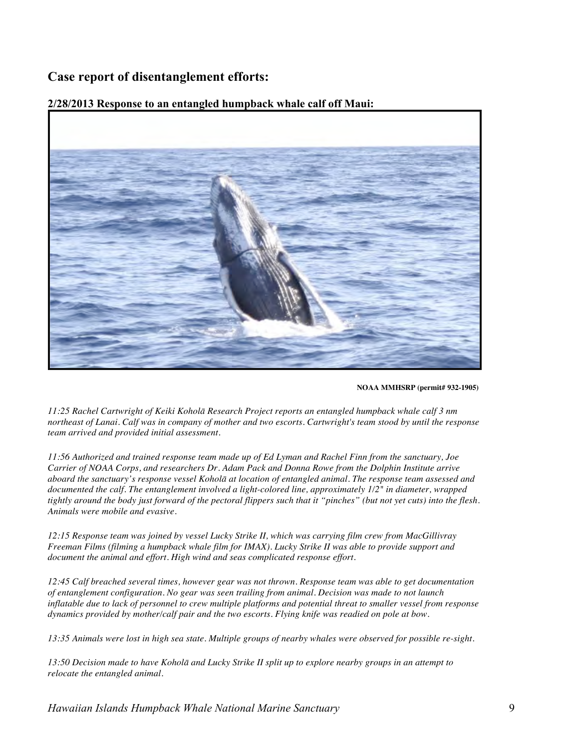## **Case report of disentanglement efforts:**

#### **2/28/2013 Response to an entangled humpback whale calf off Maui:**



**NOAA MMHSRP (permit# 932-1905)** 

 *11:25 Rachel Cartwright of Keiki Koholā Research Project reports an entangled humpback whale calf 3 nm northeast of Lanai. Calf was in company of mother and two escorts. Cartwright's team stood by until the response*  team arrived and provided initial assessment.

team arrived and provided initial assessment.<br>11:56 Authorized and trained response team made up of Ed Lyman and Rachel Finn from the sanctuary, Joe  *Carrier of NOAA Corps, and researchers Dr. Adam Pack and Donna Rowe from the Dolphin Institute arrive aboard the sanctuary's response vessel Koholā at location of entangled animal. The response team assessed and documented the calf. The entanglement involved a light-colored line, approximately 1/2" in diameter, wrapped tightly around the body just forward of the pectoral flippers such that it "pinches" (but not yet cuts) into the flesh. Animals were mobile and evasive.* 

 *12:15 Response team was joined by vessel Lucky Strike II, which was carrying film crew from MacGillivray Freeman Films (filming a humpback whale film for IMAX). Lucky Strike II was able to provide support and document the animal and effort. High wind and seas complicated response effort.* 

 *12:45 Calf breached several times, however gear was not thrown. Response team was able to get documentation of entanglement configuration. No gear was seen trailing from animal. Decision was made to not launch dynamics provided by mother/calf pair and the two escorts. Flying knife was readied on pole at bow. inflatable due to lack of personnel to crew multiple platforms and potential threat to smaller vessel from response*

 *13:35 Animals were lost in high sea state. Multiple groups of nearby whales were observed for possible re-sight.* 

 *13:50 Decision made to have Koholā and Lucky Strike II split up to explore nearby groups in an attempt to relocate the entangled animal.*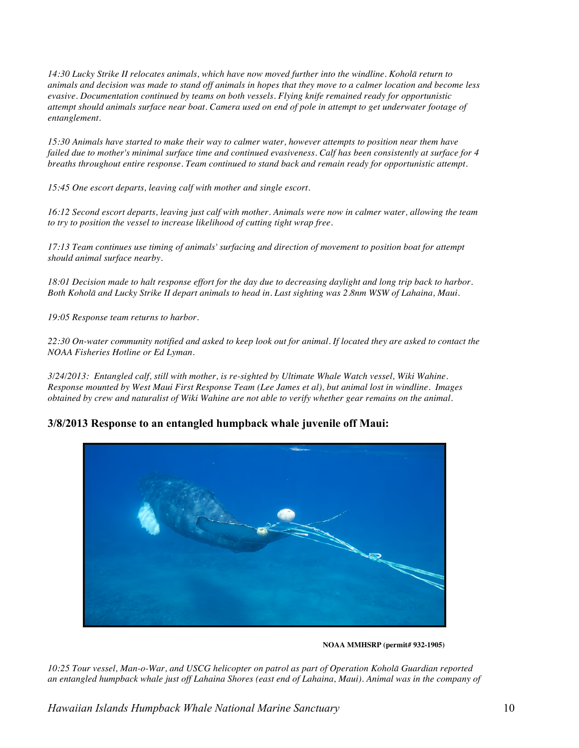*14:30 Lucky Strike II relocates animals, which have now moved further into the windline. Koholā return to animals and decision was made to stand off animals in hopes that they move to a calmer location and become less evasive. Documentation continued by teams on both vessels. Flying knife remained ready for opportunistic attempt should animals surface near boat. Camera used on end of pole in attempt to get underwater footage of entanglement.* 

 *15:30 Animals have started to make their way to calmer water, however attempts to position near them have breaths throughout entire response. Team continued to stand back and remain ready for opportunistic attempt. failed due to mother's minimal surface time and continued evasiveness. Calf has been consistently at surface for 4*

 *15:45 One escort departs, leaving calf with mother and single escort.* 

 *16:12 Second escort departs, leaving just calf with mother. Animals were now in calmer water, allowing the team* to try to position the vessel to increase likelihood of cutting tight wrap free.

to try to position the vessel to increase likelihood of cutting tight wrap free.<br>17:13 Team continues use timing of animals' surfacing and direction of movement to position boat for attempt  *should animal surface nearby.* 

 *18:01 Decision made to halt response effort for the day due to decreasing daylight and long trip back to harbor. Both Koholā and Lucky Strike II depart animals to head in. Last sighting was 2.8nm WSW of Lahaina, Maui.* 

 *19:05 Response team returns to harbor.* 

 *22:30 On-water community notified and asked to keep look out for animal. If located they are asked to contact the NOAA Fisheries Hotline or Ed Lyman.* 

 *3/24/2013: Entangled calf, still with mother, is re-sighted by Ultimate Whale Watch vessel, Wiki Wahine. Response mounted by West Maui First Response Team (Lee James et al), but animal lost in windline. Images obtained by crew and naturalist of Wiki Wahine are not able to verify whether gear remains on the animal.* 

#### **3/8/2013 Response to an entangled humpback whale juvenile off Maui:**



**NOAA MMHSRP (permit# 932-1905)** 

 *10:25 Tour vessel, Man-o-War, and USCG helicopter on patrol as part of Operation Koholā Guardian reported an entangled humpback whale just off Lahaina Shores (east end of Lahaina, Maui). Animal was in the company of*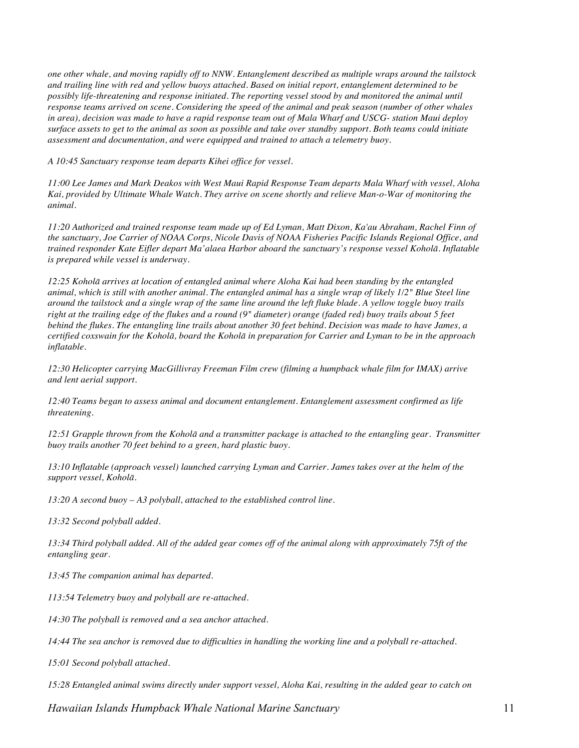*one other whale, and moving rapidly off to NNW. Entanglement described as multiple wraps around the tailstock and trailing line with red and yellow buoys attached. Based on initial report, entanglement determined to be response teams arrived on scene. Considering the speed of the animal and peak season (number of other whales in area), decision was made to have a rapid response team out of Mala Wharf and USCG- station Maui deploy surface assets to get to the animal as soon as possible and take over standby support. Both teams could initiate assessment and documentation, and were equipped and trained to attach a telemetry buoy. possibly life-threatening and response initiated. The reporting vessel stood by and monitored the animal until* 

 *A 10:45 Sanctuary response team departs Kihei office for vessel.* 

 *11:00 Lee James and Mark Deakos with West Maui Rapid Response Team departs Mala Wharf with vessel, Aloha Kai, provided by Ultimate Whale Watch. They arrive on scene shortly and relieve Man-o-War of monitoring the animal.* 

 *11:20 Authorized and trained response team made up of Ed Lyman, Matt Dixon, Ka'au Abraham, Rachel Finn of the sanctuary, Joe Carrier of NOAA Corps, Nicole Davis of NOAA Fisheries Pacific Islands Regional Office, and trained responder Kate Eifler depart Ma'alaea Harbor aboard the sanctuary's response vessel Koholā. Inflatable is prepared while vessel is underway.* 

 *12:25 Koholā arrives at location of entangled animal where Aloha Kai had been standing by the entangled animal, which is still with another animal. The entangled animal has a single wrap of likely 1/2" Blue Steel line around the tailstock and a single wrap of the same line around the left fluke blade. A yellow toggle buoy trails right at the trailing edge of the flukes and a round (9" diameter) orange (faded red) buoy trails about 5 feet behind the flukes. The entangling line trails about another 30 feet behind. Decision was made to have James, a certified coxswain for the Koholā, board the Koholā in preparation for Carrier and Lyman to be in the approach inflatable.* 

 *12:30 Helicopter carrying MacGillivray Freeman Film crew (filming a humpback whale film for IMAX) arrive and lent aerial support.* 

 *12:40 Teams began to assess animal and document entanglement. Entanglement assessment confirmed as life threatening.* 

 *12:51 Grapple thrown from the Koholā and a transmitter package is attached to the entangling gear. Transmitter buoy trails another 70 feet behind to a green, hard plastic buoy.* 

 *13:10 Inflatable (approach vessel) launched carrying Lyman and Carrier. James takes over at the helm of the support vessel, Koholā.* 

 *13:20 A second buoy – A3 polyball, attached to the established control line.* 

*13:32 Second polyball added.* 

 *13:34 Third polyball added. All of the added gear comes off of the animal along with approximately 75ft of the entangling gear.* 

 *13:45 The companion animal has departed.* 

 *113:54 Telemetry buoy and polyball are re-attached.* 

 *14:30 The polyball is removed and a sea anchor attached.* 

 *14:44 The sea anchor is removed due to difficulties in handling the working line and a polyball re-attached.* 

*15:01 Second polyball attached.* 

 *15:28 Entangled animal swims directly under support vessel, Aloha Kai, resulting in the added gear to catch on*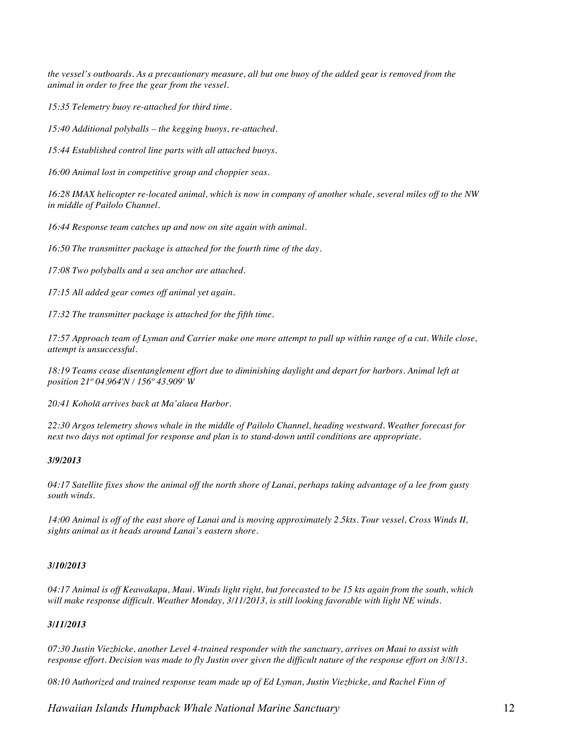*animal in order to free the gear from the vessel. the vessel's outboards. As a precautionary measure, all but one buoy of the added gear is removed from the*

 *15:35 Telemetry buoy re-attached for third time.* 

 *15:40 Additional polyballs – the kegging buoys, re-attached.* 

 *15:44 Established control line parts with all attached buoys.* 

 *16:00 Animal lost in competitive group and choppier seas.* 

 *16:28 IMAX helicopter re-located animal, which is now in company of another whale, several miles off to the NW in middle of Pailolo Channel.* 

 *16:44 Response team catches up and now on site again with animal.* 

 *16:50 The transmitter package is attached for the fourth time of the day.* 

 *17:08 Two polyballs and a sea anchor are attached.* 

 *17:15 All added gear comes off animal yet again.* 

 *17:32 The transmitter package is attached for the fifth time.* 

 *17:57 Approach team of Lyman and Carrier make one more attempt to pull up within range of a cut. While close, attempt is unsuccessful.* 

 *18:19 Teams cease disentanglement effort due to diminishing daylight and depart for harbors. Animal left at position 21º 04.964'N / 156º 43.909' W* 

 *20:41 Koholā arrives back at Ma'alaea Harbor.* 

 *22:30 Argos telemetry shows whale in the middle of Pailolo Channel, heading westward. Weather forecast for next two days not optimal for response and plan is to stand-down until conditions are appropriate.* 

#### *3/9/2013*

 *04:17 Satellite fixes show the animal off the north shore of Lanai, perhaps taking advantage of a lee from gusty south winds.* 

 *14:00 Animal is off of the east shore of Lanai and is moving approximately 2.5kts. Tour vessel, Cross Winds II, sights animal as it heads around Lanai's eastern shore.* 

#### *3/10/2013*

 *04:17 Animal is off Keawakapu, Maui. Winds light right, but forecasted to be 15 kts again from the south, which will make response difficult. Weather Monday, 3/11/2013, is still looking favorable with light NE winds.* 

#### *3/11/2013*

 *07:30 Justin Viezbicke, another Level 4-trained responder with the sanctuary, arrives on Maui to assist with response effort. Decision was made to fly Justin over given the difficult nature of the response effort on 3/8/13.* 

 *08:10 Authorized and trained response team made up of Ed Lyman, Justin Viezbicke, and Rachel Finn of*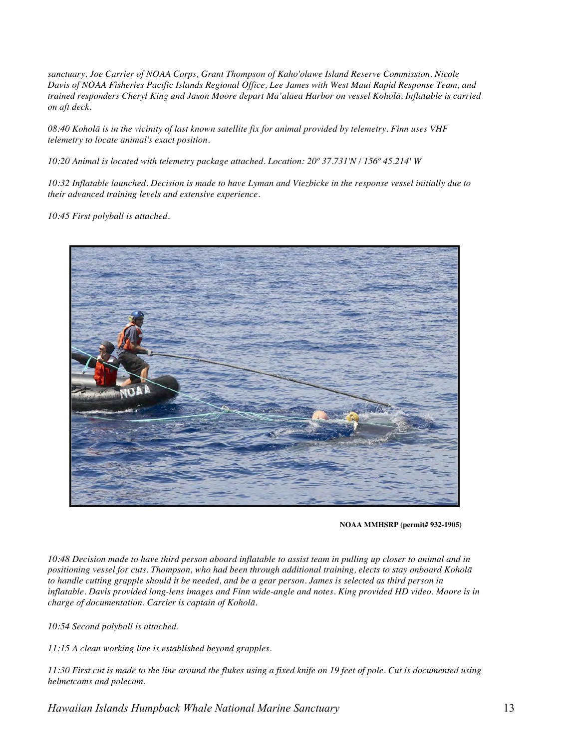*sanctuary, Joe Carrier of NOAA Corps, Grant Thompson of Kaho'olawe Island Reserve Commission, Nicole Davis of NOAA Fisheries Pacific Islands Regional Office, Lee James with West Maui Rapid Response Team, and trained responders Cheryl King and Jason Moore depart Ma'alaea Harbor on vessel Koholā. Inflatable is carried on aft deck.* 

 *08:40 Koholā is in the vicinity of last known satellite fix for animal provided by telemetry. Finn uses VHF telemetry to locate animal's exact position.* 

 *10:20 Animal is located with telemetry package attached. Location: 20º 37.731'N / 156º 45.214' W* 

 *10:32 Inflatable launched. Decision is made to have Lyman and Viezbicke in the response vessel initially due to their advanced training levels and extensive experience.* 

 *10:45 First polyball is attached.* 



**NOAA MMHSRP (permit# 932-1905)** 

 *10:48 Decision made to have third person aboard inflatable to assist team in pulling up closer to animal and in positioning vessel for cuts. Thompson, who had been through additional training, elects to stay onboard Koholā inflatable. Davis provided long-lens images and Finn wide-angle and notes. King provided HD video. Moore is in charge of documentation. Carrier is captain of Koholā. to handle cutting grapple should it be needed, and be a gear person. James is selected as third person in*

 *10:54 Second polyball is attached.* 

 *11:15 A clean working line is established beyond grapples.* 

 *11:30 First cut is made to the line around the flukes using a fixed knife on 19 feet of pole. Cut is documented using helmetcams and polecam.*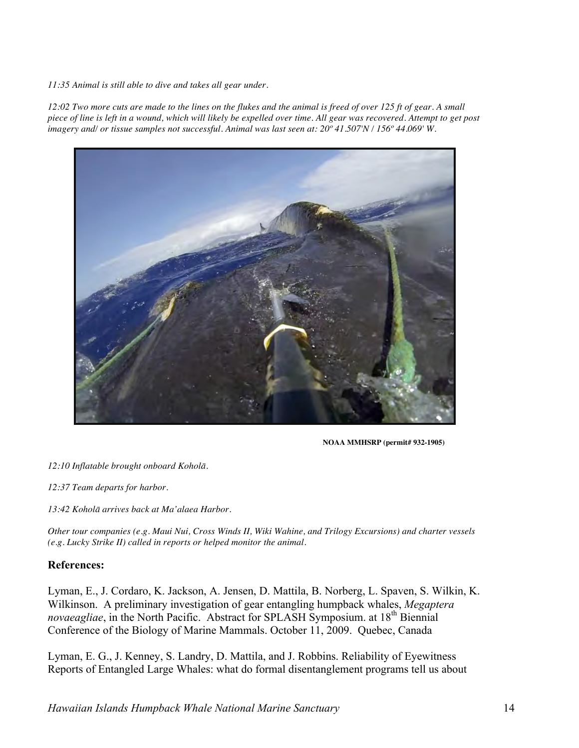*11:35 Animal is still able to dive and takes all gear under.* 

 *12:02 Two more cuts are made to the lines on the flukes and the animal is freed of over 125 ft of gear. A small piece of line is left in a wound, which will likely be expelled over time. All gear was recovered. Attempt to get post imagery and/ or tissue samples not successful. Animal was last seen at: 20º 41.507'N / 156º 44.069' W.* 



**NOAA MMHSRP (permit# 932-1905)** 

 *12:10 Inflatable brought onboard Koholā.* 

 *12:37 Team departs for harbor.* 

 *13:42 Koholā arrives back at Ma'alaea Harbor.* 

 *Other tour companies (e.g. Maui Nui, Cross Winds II, Wiki Wahine, and Trilogy Excursions) and charter vessels (e.g. Lucky Strike II) called in reports or helped monitor the animal.* 

#### **References:**

Lyman, E., J. Cordaro, K. Jackson, A. Jensen, D. Mattila, B. Norberg, L. Spaven, S. Wilkin, K. Wilkinson. A preliminary investigation of gear entangling humpback whales, *Megaptera novaeagliae*, in the North Pacific. Abstract for SPLASH Symposium. at 18<sup>th</sup> Biennial Conference of the Biology of Marine Mammals. October 11, 2009. Quebec, Canada

Lyman, E. G., J. Kenney, S. Landry, D. Mattila, and J. Robbins. Reliability of Eyewitness Reports of Entangled Large Whales: what do formal disentanglement programs tell us about